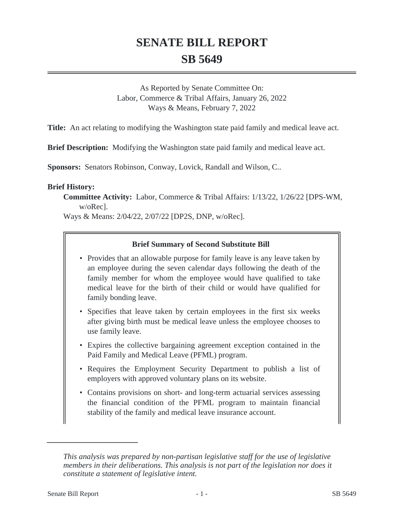# **SENATE BILL REPORT SB 5649**

As Reported by Senate Committee On: Labor, Commerce & Tribal Affairs, January 26, 2022 Ways & Means, February 7, 2022

**Title:** An act relating to modifying the Washington state paid family and medical leave act.

**Brief Description:** Modifying the Washington state paid family and medical leave act.

**Sponsors:** Senators Robinson, Conway, Lovick, Randall and Wilson, C..

#### **Brief History:**

**Committee Activity:** Labor, Commerce & Tribal Affairs: 1/13/22, 1/26/22 [DPS-WM, w/oRec].

Ways & Means: 2/04/22, 2/07/22 [DP2S, DNP, w/oRec].

## **Brief Summary of Second Substitute Bill**

- Provides that an allowable purpose for family leave is any leave taken by an employee during the seven calendar days following the death of the family member for whom the employee would have qualified to take medical leave for the birth of their child or would have qualified for family bonding leave.
- Specifies that leave taken by certain employees in the first six weeks after giving birth must be medical leave unless the employee chooses to use family leave.
- Expires the collective bargaining agreement exception contained in the Paid Family and Medical Leave (PFML) program.
- Requires the Employment Security Department to publish a list of employers with approved voluntary plans on its website.
- Contains provisions on short- and long-term actuarial services assessing the financial condition of the PFML program to maintain financial stability of the family and medical leave insurance account.

*This analysis was prepared by non-partisan legislative staff for the use of legislative members in their deliberations. This analysis is not part of the legislation nor does it constitute a statement of legislative intent.*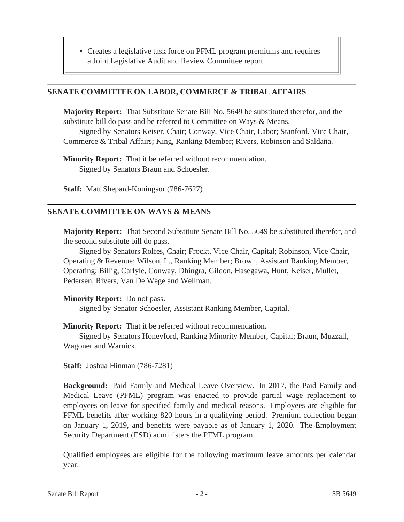• Creates a legislative task force on PFML program premiums and requires a Joint Legislative Audit and Review Committee report.

#### **SENATE COMMITTEE ON LABOR, COMMERCE & TRIBAL AFFAIRS**

**Majority Report:** That Substitute Senate Bill No. 5649 be substituted therefor, and the substitute bill do pass and be referred to Committee on Ways & Means.

Signed by Senators Keiser, Chair; Conway, Vice Chair, Labor; Stanford, Vice Chair, Commerce & Tribal Affairs; King, Ranking Member; Rivers, Robinson and Saldaña.

**Minority Report:** That it be referred without recommendation. Signed by Senators Braun and Schoesler.

**Staff:** Matt Shepard-Koningsor (786-7627)

## **SENATE COMMITTEE ON WAYS & MEANS**

**Majority Report:** That Second Substitute Senate Bill No. 5649 be substituted therefor, and the second substitute bill do pass.

Signed by Senators Rolfes, Chair; Frockt, Vice Chair, Capital; Robinson, Vice Chair, Operating & Revenue; Wilson, L., Ranking Member; Brown, Assistant Ranking Member, Operating; Billig, Carlyle, Conway, Dhingra, Gildon, Hasegawa, Hunt, Keiser, Mullet, Pedersen, Rivers, Van De Wege and Wellman.

**Minority Report:** Do not pass.

Signed by Senator Schoesler, Assistant Ranking Member, Capital.

**Minority Report:** That it be referred without recommendation.

Signed by Senators Honeyford, Ranking Minority Member, Capital; Braun, Muzzall, Wagoner and Warnick.

**Staff:** Joshua Hinman (786-7281)

**Background:** Paid Family and Medical Leave Overview. In 2017, the Paid Family and Medical Leave (PFML) program was enacted to provide partial wage replacement to employees on leave for specified family and medical reasons. Employees are eligible for PFML benefits after working 820 hours in a qualifying period. Premium collection began on January 1, 2019, and benefits were payable as of January 1, 2020. The Employment Security Department (ESD) administers the PFML program.

Qualified employees are eligible for the following maximum leave amounts per calendar year: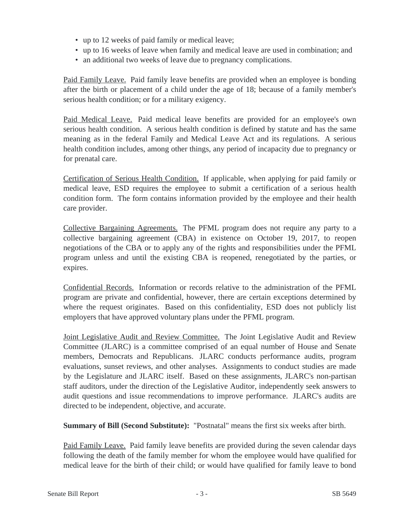- up to 12 weeks of paid family or medical leave;
- up to 16 weeks of leave when family and medical leave are used in combination; and
- an additional two weeks of leave due to pregnancy complications.

Paid Family Leave. Paid family leave benefits are provided when an employee is bonding after the birth or placement of a child under the age of 18; because of a family member's serious health condition; or for a military exigency.

Paid Medical Leave. Paid medical leave benefits are provided for an employee's own serious health condition. A serious health condition is defined by statute and has the same meaning as in the federal Family and Medical Leave Act and its regulations. A serious health condition includes, among other things, any period of incapacity due to pregnancy or for prenatal care.

Certification of Serious Health Condition. If applicable, when applying for paid family or medical leave, ESD requires the employee to submit a certification of a serious health condition form. The form contains information provided by the employee and their health care provider.

Collective Bargaining Agreements. The PFML program does not require any party to a collective bargaining agreement (CBA) in existence on October 19, 2017, to reopen negotiations of the CBA or to apply any of the rights and responsibilities under the PFML program unless and until the existing CBA is reopened, renegotiated by the parties, or expires.

Confidential Records. Information or records relative to the administration of the PFML program are private and confidential, however, there are certain exceptions determined by where the request originates. Based on this confidentiality, ESD does not publicly list employers that have approved voluntary plans under the PFML program.

Joint Legislative Audit and Review Committee. The Joint Legislative Audit and Review Committee (JLARC) is a committee comprised of an equal number of House and Senate members, Democrats and Republicans. JLARC conducts performance audits, program evaluations, sunset reviews, and other analyses. Assignments to conduct studies are made by the Legislature and JLARC itself. Based on these assignments, JLARC's non-partisan staff auditors, under the direction of the Legislative Auditor, independently seek answers to audit questions and issue recommendations to improve performance. JLARC's audits are directed to be independent, objective, and accurate.

**Summary of Bill (Second Substitute):** "Postnatal" means the first six weeks after birth.

Paid Family Leave. Paid family leave benefits are provided during the seven calendar days following the death of the family member for whom the employee would have qualified for medical leave for the birth of their child; or would have qualified for family leave to bond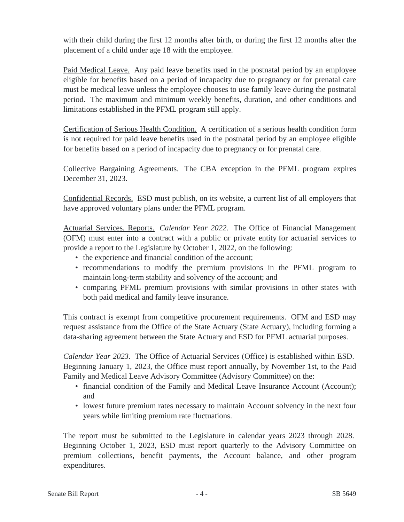with their child during the first 12 months after birth, or during the first 12 months after the placement of a child under age 18 with the employee.

Paid Medical Leave. Any paid leave benefits used in the postnatal period by an employee eligible for benefits based on a period of incapacity due to pregnancy or for prenatal care must be medical leave unless the employee chooses to use family leave during the postnatal period. The maximum and minimum weekly benefits, duration, and other conditions and limitations established in the PFML program still apply.

Certification of Serious Health Condition. A certification of a serious health condition form is not required for paid leave benefits used in the postnatal period by an employee eligible for benefits based on a period of incapacity due to pregnancy or for prenatal care.

Collective Bargaining Agreements. The CBA exception in the PFML program expires December 31, 2023.

Confidential Records. ESD must publish, on its website, a current list of all employers that have approved voluntary plans under the PFML program.

Actuarial Services, Reports. *Calendar Year 2022.* The Office of Financial Management (OFM) must enter into a contract with a public or private entity for actuarial services to provide a report to the Legislature by October 1, 2022, on the following:

- the experience and financial condition of the account;
- recommendations to modify the premium provisions in the PFML program to maintain long-term stability and solvency of the account; and
- comparing PFML premium provisions with similar provisions in other states with both paid medical and family leave insurance.

This contract is exempt from competitive procurement requirements. OFM and ESD may request assistance from the Office of the State Actuary (State Actuary), including forming a data-sharing agreement between the State Actuary and ESD for PFML actuarial purposes.

*Calendar Year 2023.* The Office of Actuarial Services (Office) is established within ESD. Beginning January 1, 2023, the Office must report annually, by November 1st, to the Paid Family and Medical Leave Advisory Committee (Advisory Committee) on the:

- financial condition of the Family and Medical Leave Insurance Account (Account); and
- lowest future premium rates necessary to maintain Account solvency in the next four years while limiting premium rate fluctuations.

The report must be submitted to the Legislature in calendar years 2023 through 2028. Beginning October 1, 2023, ESD must report quarterly to the Advisory Committee on premium collections, benefit payments, the Account balance, and other program expenditures.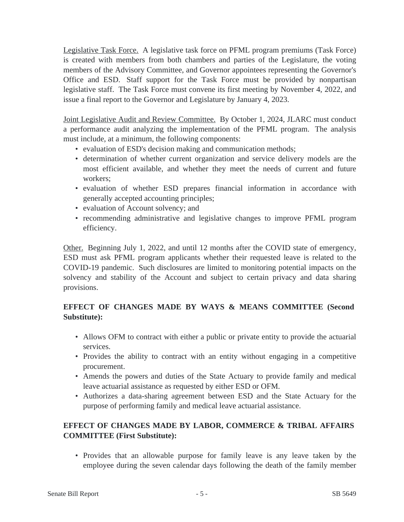Legislative Task Force. A legislative task force on PFML program premiums (Task Force) is created with members from both chambers and parties of the Legislature, the voting members of the Advisory Committee, and Governor appointees representing the Governor's Office and ESD. Staff support for the Task Force must be provided by nonpartisan legislative staff. The Task Force must convene its first meeting by November 4, 2022, and issue a final report to the Governor and Legislature by January 4, 2023.

Joint Legislative Audit and Review Committee. By October 1, 2024, JLARC must conduct a performance audit analyzing the implementation of the PFML program. The analysis must include, at a minimum, the following components:

- evaluation of ESD's decision making and communication methods;
- determination of whether current organization and service delivery models are the most efficient available, and whether they meet the needs of current and future workers;
- evaluation of whether ESD prepares financial information in accordance with generally accepted accounting principles;
- evaluation of Account solvency; and
- recommending administrative and legislative changes to improve PFML program efficiency.

Other. Beginning July 1, 2022, and until 12 months after the COVID state of emergency, ESD must ask PFML program applicants whether their requested leave is related to the COVID-19 pandemic. Such disclosures are limited to monitoring potential impacts on the solvency and stability of the Account and subject to certain privacy and data sharing provisions.

## **EFFECT OF CHANGES MADE BY WAYS & MEANS COMMITTEE (Second Substitute):**

- Allows OFM to contract with either a public or private entity to provide the actuarial services.
- Provides the ability to contract with an entity without engaging in a competitive procurement.
- Amends the powers and duties of the State Actuary to provide family and medical leave actuarial assistance as requested by either ESD or OFM.
- Authorizes a data-sharing agreement between ESD and the State Actuary for the purpose of performing family and medical leave actuarial assistance.

# **EFFECT OF CHANGES MADE BY LABOR, COMMERCE & TRIBAL AFFAIRS COMMITTEE (First Substitute):**

• Provides that an allowable purpose for family leave is any leave taken by the employee during the seven calendar days following the death of the family member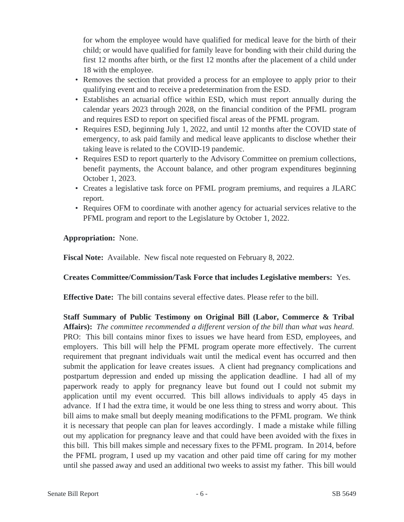for whom the employee would have qualified for medical leave for the birth of their child; or would have qualified for family leave for bonding with their child during the first 12 months after birth, or the first 12 months after the placement of a child under 18 with the employee.

- Removes the section that provided a process for an employee to apply prior to their qualifying event and to receive a predetermination from the ESD.
- Establishes an actuarial office within ESD, which must report annually during the calendar years 2023 through 2028, on the financial condition of the PFML program and requires ESD to report on specified fiscal areas of the PFML program.
- Requires ESD, beginning July 1, 2022, and until 12 months after the COVID state of emergency, to ask paid family and medical leave applicants to disclose whether their taking leave is related to the COVID-19 pandemic.
- Requires ESD to report quarterly to the Advisory Committee on premium collections, benefit payments, the Account balance, and other program expenditures beginning October 1, 2023.
- Creates a legislative task force on PFML program premiums, and requires a JLARC report.
- Requires OFM to coordinate with another agency for actuarial services relative to the PFML program and report to the Legislature by October 1, 2022.

## **Appropriation:** None.

**Fiscal Note:** Available. New fiscal note requested on February 8, 2022.

## **Creates Committee/Commission/Task Force that includes Legislative members:** Yes.

**Effective Date:** The bill contains several effective dates. Please refer to the bill.

**Staff Summary of Public Testimony on Original Bill (Labor, Commerce & Tribal Affairs):** *The committee recommended a different version of the bill than what was heard.*  PRO: This bill contains minor fixes to issues we have heard from ESD, employees, and employers. This bill will help the PFML program operate more effectively. The current requirement that pregnant individuals wait until the medical event has occurred and then submit the application for leave creates issues. A client had pregnancy complications and postpartum depression and ended up missing the application deadline. I had all of my paperwork ready to apply for pregnancy leave but found out I could not submit my application until my event occurred. This bill allows individuals to apply 45 days in advance. If I had the extra time, it would be one less thing to stress and worry about. This bill aims to make small but deeply meaning modifications to the PFML program. We think it is necessary that people can plan for leaves accordingly. I made a mistake while filling out my application for pregnancy leave and that could have been avoided with the fixes in this bill. This bill makes simple and necessary fixes to the PFML program. In 2014, before the PFML program, I used up my vacation and other paid time off caring for my mother until she passed away and used an additional two weeks to assist my father. This bill would